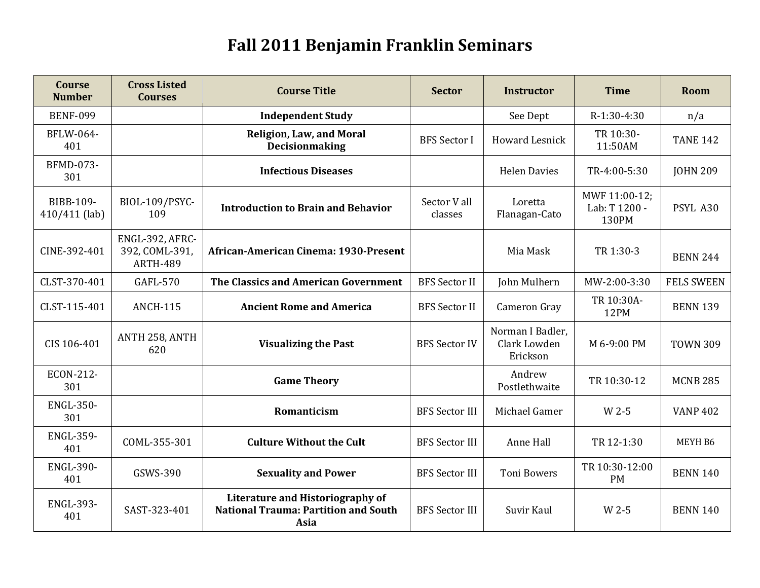## **Fall 2011 Benjamin Franklin Seminars**

| <b>Course</b><br><b>Number</b> | <b>Cross Listed</b><br><b>Courses</b>                | <b>Course Title</b>                                                                     | <b>Sector</b>           | <b>Instructor</b>                            | <b>Time</b>                             | Room              |
|--------------------------------|------------------------------------------------------|-----------------------------------------------------------------------------------------|-------------------------|----------------------------------------------|-----------------------------------------|-------------------|
| <b>BENF-099</b>                |                                                      | <b>Independent Study</b>                                                                |                         | See Dept                                     | R-1:30-4:30                             | n/a               |
| BFLW-064-<br>401               |                                                      | <b>Religion, Law, and Moral</b><br>Decisionmaking                                       | <b>BFS</b> Sector I     | <b>Howard Lesnick</b>                        | TR 10:30-<br>11:50AM                    | <b>TANE 142</b>   |
| <b>BFMD-073-</b><br>301        |                                                      | <b>Infectious Diseases</b>                                                              |                         | <b>Helen Davies</b>                          | TR-4:00-5:30                            | <b>JOHN 209</b>   |
| BIBB-109-<br>410/411 (lab)     | BIOL-109/PSYC-<br>109                                | <b>Introduction to Brain and Behavior</b>                                               | Sector V all<br>classes | Loretta<br>Flanagan-Cato                     | MWF 11:00-12;<br>Lab: T 1200 -<br>130PM | PSYL A30          |
| CINE-392-401                   | ENGL-392, AFRC-<br>392, COML-391,<br><b>ARTH-489</b> | African-American Cinema: 1930-Present                                                   |                         | Mia Mask                                     | TR 1:30-3                               | <b>BENN 244</b>   |
| CLST-370-401                   | GAFL-570                                             | The Classics and American Government                                                    | <b>BFS</b> Sector II    | John Mulhern                                 | MW-2:00-3:30                            | <b>FELS SWEEN</b> |
| CLST-115-401                   | <b>ANCH-115</b>                                      | <b>Ancient Rome and America</b>                                                         | <b>BFS</b> Sector II    | Cameron Gray                                 | TR 10:30A-<br>12PM                      | <b>BENN 139</b>   |
| CIS 106-401                    | ANTH 258, ANTH<br>620                                | <b>Visualizing the Past</b>                                                             | <b>BFS Sector IV</b>    | Norman I Badler,<br>Clark Lowden<br>Erickson | M 6-9:00 PM                             | <b>TOWN 309</b>   |
| ECON-212-<br>301               |                                                      | <b>Game Theory</b>                                                                      |                         | Andrew<br>Postlethwaite                      | TR 10:30-12                             | <b>MCNB 285</b>   |
| <b>ENGL-350-</b><br>301        |                                                      | Romanticism                                                                             | <b>BFS Sector III</b>   | Michael Gamer                                | W 2-5                                   | <b>VANP 402</b>   |
| <b>ENGL-359-</b><br>401        | COML-355-301                                         | <b>Culture Without the Cult</b>                                                         | <b>BFS</b> Sector III   | Anne Hall                                    | TR 12-1:30                              | MEYH B6           |
| <b>ENGL-390-</b><br>401        | GSWS-390                                             | <b>Sexuality and Power</b>                                                              | <b>BFS</b> Sector III   | <b>Toni Bowers</b>                           | TR 10:30-12:00<br><b>PM</b>             | <b>BENN 140</b>   |
| <b>ENGL-393-</b><br>401        | SAST-323-401                                         | Literature and Historiography of<br><b>National Trauma: Partition and South</b><br>Asia | <b>BFS Sector III</b>   | Suvir Kaul                                   | W 2-5                                   | <b>BENN 140</b>   |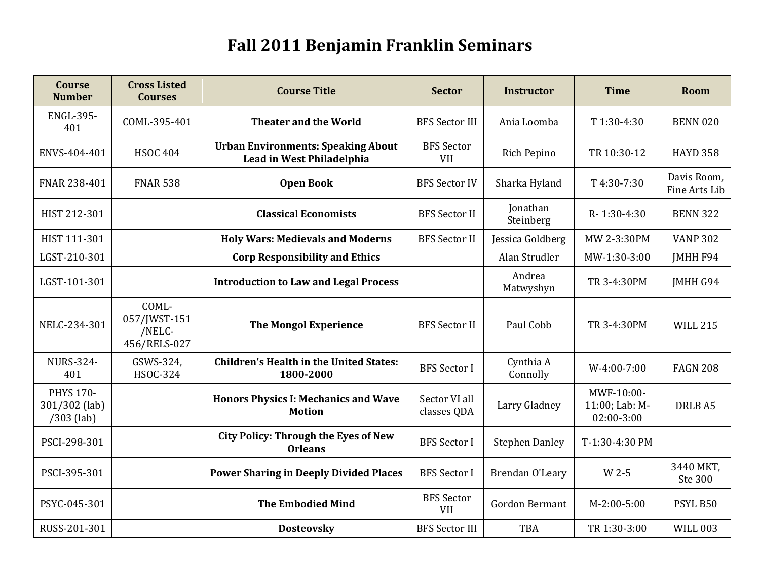## **Fall 2011 Benjamin Franklin Seminars**

| <b>Course</b><br><b>Number</b>                    | <b>Cross Listed</b><br><b>Courses</b>           | <b>Course Title</b>                                                    | <b>Sector</b>                   | <b>Instructor</b>     | <b>Time</b>                                | Room                         |
|---------------------------------------------------|-------------------------------------------------|------------------------------------------------------------------------|---------------------------------|-----------------------|--------------------------------------------|------------------------------|
| <b>ENGL-395-</b><br>401                           | COML-395-401                                    | <b>Theater and the World</b>                                           | <b>BFS Sector III</b>           | Ania Loomba           | T 1:30-4:30                                | <b>BENN 020</b>              |
| ENVS-404-401                                      | <b>HSOC 404</b>                                 | <b>Urban Environments: Speaking About</b><br>Lead in West Philadelphia | <b>BFS</b> Sector<br>VII        | Rich Pepino           | TR 10:30-12                                | <b>HAYD 358</b>              |
| FNAR 238-401                                      | <b>FNAR 538</b>                                 | <b>Open Book</b>                                                       | <b>BFS Sector IV</b>            | Sharka Hyland         | T 4:30-7:30                                | Davis Room,<br>Fine Arts Lib |
| HIST 212-301                                      |                                                 | <b>Classical Economists</b>                                            | <b>BFS</b> Sector II            | Jonathan<br>Steinberg | R-1:30-4:30                                | <b>BENN 322</b>              |
| HIST 111-301                                      |                                                 | <b>Holy Wars: Medievals and Moderns</b>                                | <b>BFS Sector II</b>            | Jessica Goldberg      | MW 2-3:30PM                                | <b>VANP 302</b>              |
| LGST-210-301                                      |                                                 | <b>Corp Responsibility and Ethics</b>                                  |                                 | Alan Strudler         | MW-1:30-3:00                               | JMHH F94                     |
| LGST-101-301                                      |                                                 | <b>Introduction to Law and Legal Process</b>                           |                                 | Andrea<br>Matwyshyn   | TR 3-4:30PM                                | <b>IMHH G94</b>              |
| NELC-234-301                                      | COML-<br>057/JWST-151<br>/NELC-<br>456/RELS-027 | <b>The Mongol Experience</b>                                           | <b>BFS Sector II</b>            | Paul Cobb             | TR 3-4:30PM                                | <b>WILL 215</b>              |
| <b>NURS-324-</b><br>401                           | GSWS-324,<br><b>HSOC-324</b>                    | <b>Children's Health in the United States:</b><br>1800-2000            | <b>BFS</b> Sector I             | Cynthia A<br>Connolly | $W-4:00-7:00$                              | <b>FAGN 208</b>              |
| <b>PHYS 170-</b><br>301/302 (lab)<br>$/303$ (lab) |                                                 | <b>Honors Physics I: Mechanics and Wave</b><br><b>Motion</b>           | Sector VI all<br>classes QDA    | Larry Gladney         | MWF-10:00-<br>11:00; Lab: M-<br>02:00-3:00 | DRLB A5                      |
| PSCI-298-301                                      |                                                 | <b>City Policy: Through the Eyes of New</b><br><b>Orleans</b>          | <b>BFS</b> Sector I             | <b>Stephen Danley</b> | T-1:30-4:30 PM                             |                              |
| PSCI-395-301                                      |                                                 | <b>Power Sharing in Deeply Divided Places</b>                          | <b>BFS</b> Sector I             | Brendan O'Leary       | W 2-5                                      | 3440 MKT,<br>Ste 300         |
| PSYC-045-301                                      |                                                 | <b>The Embodied Mind</b>                                               | <b>BFS</b> Sector<br><b>VII</b> | <b>Gordon Bermant</b> | $M-2:00-5:00$                              | PSYL B50                     |
| RUSS-201-301                                      |                                                 | <b>Dosteovsky</b>                                                      | <b>BFS Sector III</b>           | <b>TBA</b>            | TR 1:30-3:00                               | <b>WILL 003</b>              |